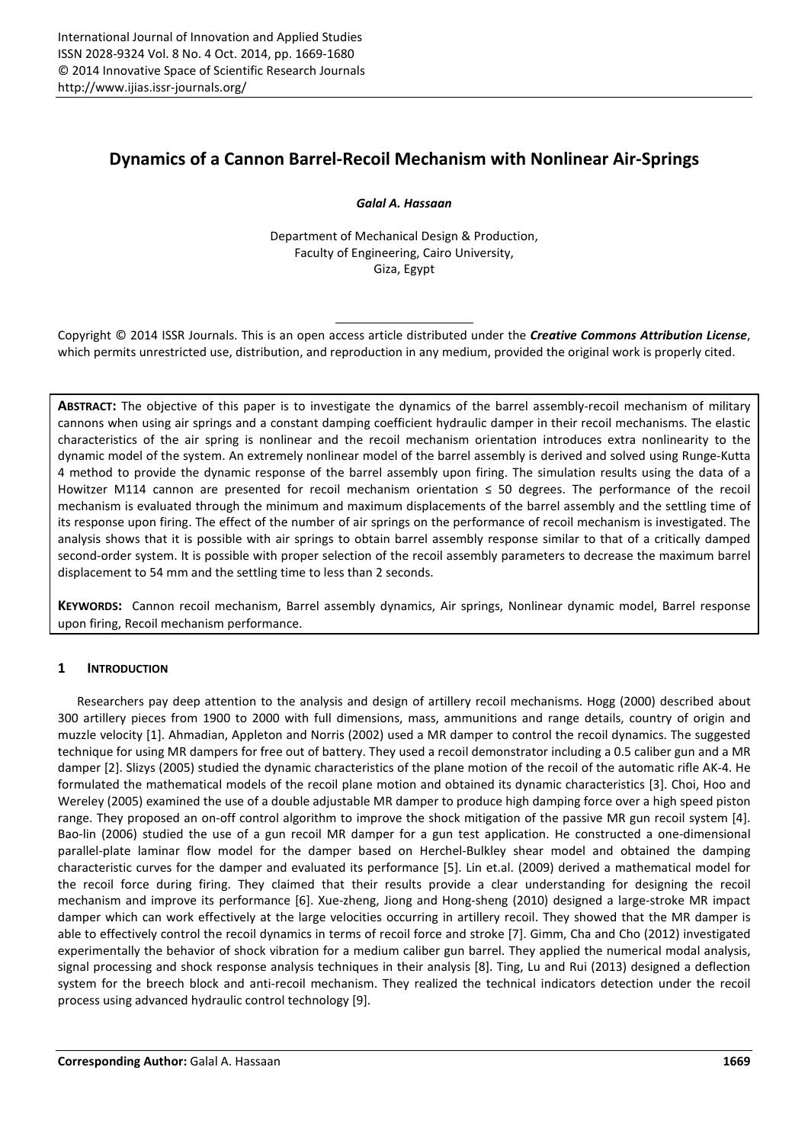# **Dynamics of a Cannon Barrel-Recoil Mechanism with Nonlinear Air-Springs**

*Galal A. Hassaan* 

Department of Mechanical Design & Production, Faculty of Engineering, Cairo University, Giza, Egypt

Copyright © 2014 ISSR Journals. This is an open access article distributed under the *Creative Commons Attribution License*, which permits unrestricted use, distribution, and reproduction in any medium, provided the original work is properly cited.

**ABSTRACT:** The objective of this paper is to investigate the dynamics of the barrel assembly-recoil mechanism of military cannons when using air springs and a constant damping coefficient hydraulic damper in their recoil mechanisms. The elastic characteristics of the air spring is nonlinear and the recoil mechanism orientation introduces extra nonlinearity to the dynamic model of the system. An extremely nonlinear model of the barrel assembly is derived and solved using Runge-Kutta 4 method to provide the dynamic response of the barrel assembly upon firing. The simulation results using the data of a Howitzer M114 cannon are presented for recoil mechanism orientation ≤ 50 degrees. The performance of the recoil mechanism is evaluated through the minimum and maximum displacements of the barrel assembly and the settling time of its response upon firing. The effect of the number of air springs on the performance of recoil mechanism is investigated. The analysis shows that it is possible with air springs to obtain barrel assembly response similar to that of a critically damped second-order system. It is possible with proper selection of the recoil assembly parameters to decrease the maximum barrel displacement to 54 mm and the settling time to less than 2 seconds.

**KEYWORDS:** Cannon recoil mechanism, Barrel assembly dynamics, Air springs, Nonlinear dynamic model, Barrel response upon firing, Recoil mechanism performance.

# **1 INTRODUCTION**

Researchers pay deep attention to the analysis and design of artillery recoil mechanisms. Hogg (2000) described about 300 artillery pieces from 1900 to 2000 with full dimensions, mass, ammunitions and range details, country of origin and muzzle velocity [1]. Ahmadian, Appleton and Norris (2002) used a MR damper to control the recoil dynamics. The suggested technique for using MR dampers for free out of battery. They used a recoil demonstrator including a 0.5 caliber gun and a MR damper [2]. Slizys (2005) studied the dynamic characteristics of the plane motion of the recoil of the automatic rifle AK-4. He formulated the mathematical models of the recoil plane motion and obtained its dynamic characteristics [3]. Choi, Hoo and Wereley (2005) examined the use of a double adjustable MR damper to produce high damping force over a high speed piston range. They proposed an on-off control algorithm to improve the shock mitigation of the passive MR gun recoil system [4]. Bao-lin (2006) studied the use of a gun recoil MR damper for a gun test application. He constructed a one-dimensional parallel-plate laminar flow model for the damper based on Herchel-Bulkley shear model and obtained the damping characteristic curves for the damper and evaluated its performance [5]. Lin et.al. (2009) derived a mathematical model for the recoil force during firing. They claimed that their results provide a clear understanding for designing the recoil mechanism and improve its performance [6]. Xue-zheng, Jiong and Hong-sheng (2010) designed a large-stroke MR impact damper which can work effectively at the large velocities occurring in artillery recoil. They showed that the MR damper is able to effectively control the recoil dynamics in terms of recoil force and stroke [7]. Gimm, Cha and Cho (2012) investigated experimentally the behavior of shock vibration for a medium caliber gun barrel. They applied the numerical modal analysis, signal processing and shock response analysis techniques in their analysis [8]. Ting, Lu and Rui (2013) designed a deflection system for the breech block and anti-recoil mechanism. They realized the technical indicators detection under the recoil process using advanced hydraulic control technology [9].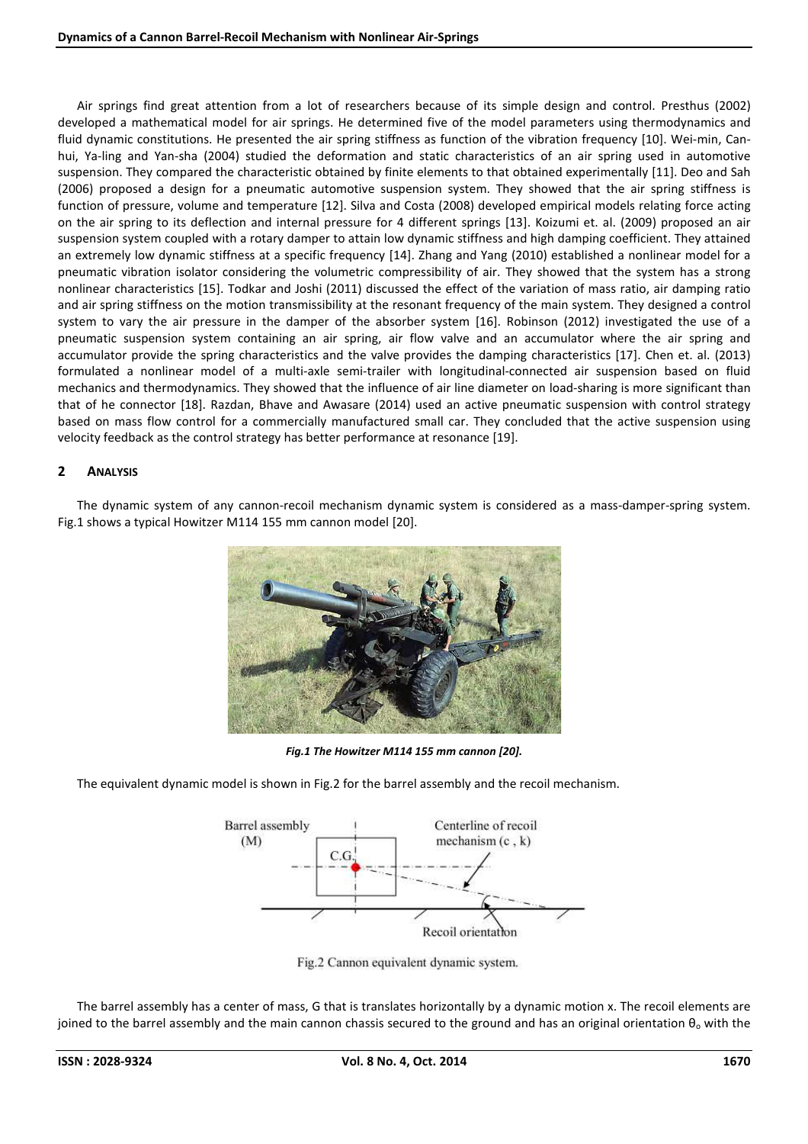Air springs find great attention from a lot of researchers because of its simple design and control. Presthus (2002) developed a mathematical model for air springs. He determined five of the model parameters using thermodynamics and fluid dynamic constitutions. He presented the air spring stiffness as function of the vibration frequency [10]. Wei-min, Canhui, Ya-ling and Yan-sha (2004) studied the deformation and static characteristics of an air spring used in automotive suspension. They compared the characteristic obtained by finite elements to that obtained experimentally [11]. Deo and Sah (2006) proposed a design for a pneumatic automotive suspension system. They showed that the air spring stiffness is function of pressure, volume and temperature [12]. Silva and Costa (2008) developed empirical models relating force acting on the air spring to its deflection and internal pressure for 4 different springs [13]. Koizumi et. al. (2009) proposed an air suspension system coupled with a rotary damper to attain low dynamic stiffness and high damping coefficient. They attained an extremely low dynamic stiffness at a specific frequency [14]. Zhang and Yang (2010) established a nonlinear model for a pneumatic vibration isolator considering the volumetric compressibility of air. They showed that the system has a strong nonlinear characteristics [15]. Todkar and Joshi (2011) discussed the effect of the variation of mass ratio, air damping ratio and air spring stiffness on the motion transmissibility at the resonant frequency of the main system. They designed a control system to vary the air pressure in the damper of the absorber system [16]. Robinson (2012) investigated the use of a pneumatic suspension system containing an air spring, air flow valve and an accumulator where the air spring and accumulator provide the spring characteristics and the valve provides the damping characteristics [17]. Chen et. al. (2013) formulated a nonlinear model of a multi-axle semi-trailer with longitudinal-connected air suspension based on fluid mechanics and thermodynamics. They showed that the influence of air line diameter on load-sharing is more significant than that of he connector [18]. Razdan, Bhave and Awasare (2014) used an active pneumatic suspension with control strategy based on mass flow control for a commercially manufactured small car. They concluded that the active suspension using velocity feedback as the control strategy has better performance at resonance [19].

# **2 ANALYSIS**

The dynamic system of any cannon-recoil mechanism dynamic system is considered as a mass-damper-spring system. Fig.1 shows a typical Howitzer M114 155 mm cannon model [20].



*Fig.1 The Howitzer M114 155 mm cannon [20].* 

The equivalent dynamic model is shown in Fig.2 for the barrel assembly and the recoil mechanism.



Fig.2 Cannon equivalent dynamic system.

The barrel assembly has a center of mass, G that is translates horizontally by a dynamic motion x. The recoil elements are joined to the barrel assembly and the main cannon chassis secured to the ground and has an original orientation  $\theta_0$  with the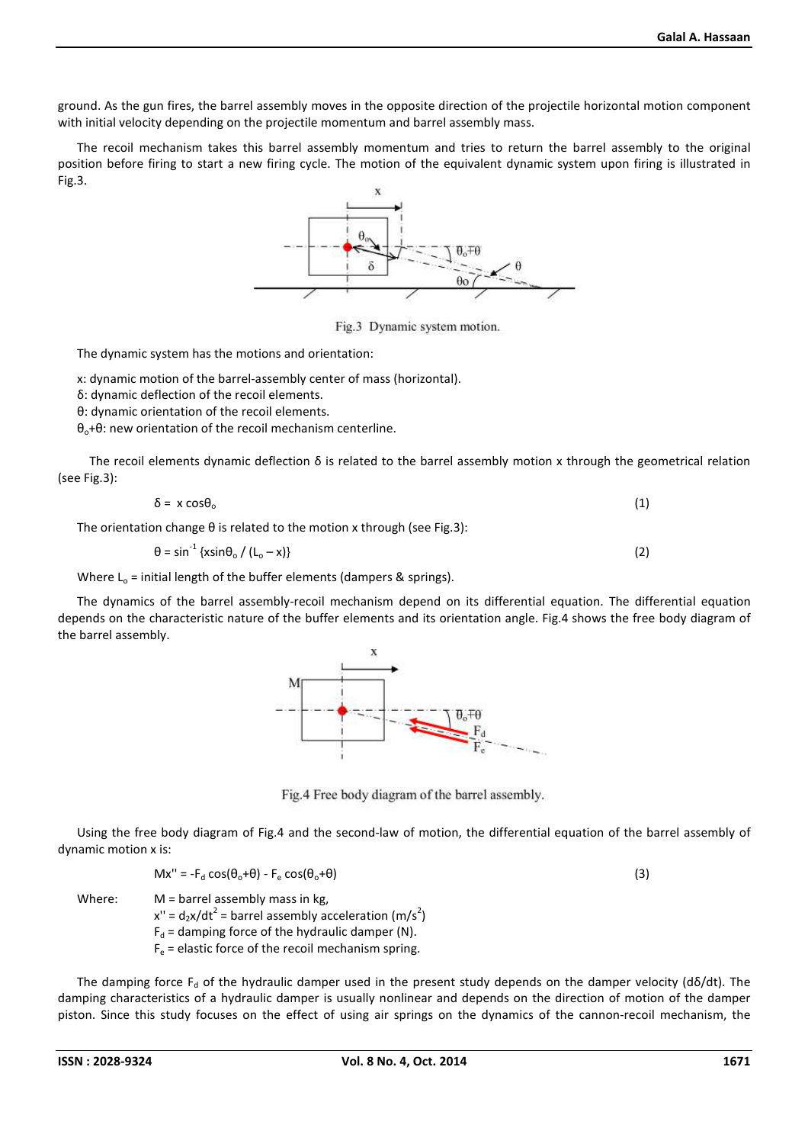ground. As the gun fires, the barrel assembly moves in the opposite direction of the projectile horizontal motion component with initial velocity depending on the projectile momentum and barrel assembly mass.

The recoil mechanism takes this barrel assembly momentum and tries to return the barrel assembly to the original position before firing to start a new firing cycle. The motion of the equivalent dynamic system upon firing is illustrated in Fig.3.



Fig.3 Dynamic system motion.

The dynamic system has the motions and orientation:

x: dynamic motion of the barrel-assembly center of mass (horizontal).

δ: dynamic deflection of the recoil elements.

θ: dynamic orientation of the recoil elements.

 $θ<sub>o</sub>+θ$ : new orientation of the recoil mechanism centerline.

 The recoil elements dynamic deflection δ is related to the barrel assembly motion x through the geometrical relation (see Fig.3):

$$
\delta = x \cos \theta_0 \tag{1}
$$

The orientation change θ is related to the motion x through (see Fig.3):

$$
\theta = \sin^{-1}\left\{\frac{x\sin\theta_0}{\left(t_o - x\right)}\right\} \tag{2}
$$

Where  $L_0$  = initial length of the buffer elements (dampers & springs).

The dynamics of the barrel assembly-recoil mechanism depend on its differential equation. The differential equation depends on the characteristic nature of the buffer elements and its orientation angle. Fig.4 shows the free body diagram of the barrel assembly.



Fig.4 Free body diagram of the barrel assembly.

Using the free body diagram of Fig.4 and the second-law of motion, the differential equation of the barrel assembly of dynamic motion x is:

$$
Mx'' = -F_d \cos(\theta_0 + \theta) - F_e \cos(\theta_0 + \theta)
$$
 (3)

Where: M = barrel assembly mass in kg,  $x'' = d_2x/dt^2$  = barrel assembly acceleration (m/s<sup>2</sup>)  $F_d$  = damping force of the hydraulic damper (N).  $F_e$  = elastic force of the recoil mechanism spring.

The damping force  $F_d$  of the hydraulic damper used in the present study depends on the damper velocity (dδ/dt). The damping characteristics of a hydraulic damper is usually nonlinear and depends on the direction of motion of the damper piston. Since this study focuses on the effect of using air springs on the dynamics of the cannon-recoil mechanism, the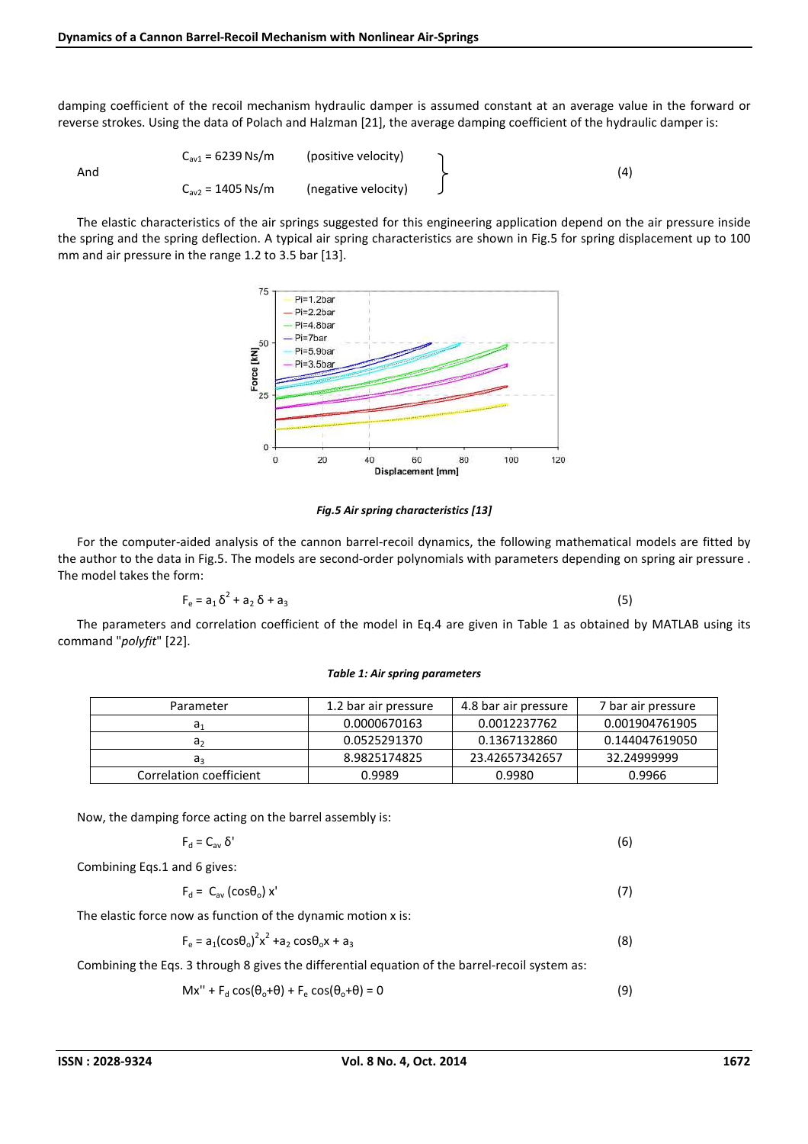damping coefficient of the recoil mechanism hydraulic damper is assumed constant at an average value in the forward or reverse strokes. Using the data of Polach and Halzman [21], the average damping coefficient of the hydraulic damper is:

| And | $C_{av1} = 6239$ Ns/m | (positive velocity) |  | (4) |
|-----|-----------------------|---------------------|--|-----|
|     | $C_{av2} = 1405$ Ns/m | (negative velocity) |  |     |

The elastic characteristics of the air springs suggested for this engineering application depend on the air pressure inside the spring and the spring deflection. A typical air spring characteristics are shown in Fig.5 for spring displacement up to 100 mm and air pressure in the range 1.2 to 3.5 bar [13].



*Fig.5 Air spring characteristics [13]* 

For the computer-aided analysis of the cannon barrel-recoil dynamics, the following mathematical models are fitted by the author to the data in Fig.5. The models are second-order polynomials with parameters depending on spring air pressure . The model takes the form:

$$
F_e = a_1 \delta^2 + a_2 \delta + a_3 \tag{5}
$$

The parameters and correlation coefficient of the model in Eq.4 are given in Table 1 as obtained by MATLAB using its command "*polyfit*" [22].

#### *Table 1: Air spring parameters*

| Parameter               | 1.2 bar air pressure | 4.8 bar air pressure | 7 bar air pressure |
|-------------------------|----------------------|----------------------|--------------------|
| a,                      | 0.0000670163         | 0.0012237762         | 0.001904761905     |
| a٫                      | 0.0525291370         | 0.1367132860         | 0.144047619050     |
| a                       | 8.9825174825         | 23.42657342657       | 32.24999999        |
| Correlation coefficient | 0.9989               | 0.9980               | 0.9966             |

Now, the damping force acting on the barrel assembly is:

$$
F_d = C_{av} \delta'
$$
 (6)  
Combining Eqs.1 and 6 gives:

 $F_d = C_{av} (cos \theta_o) x'$  (7)

The elastic force now as function of the dynamic motion x is:

$$
F_e = a_1 (cos \theta_0)^2 x^2 + a_2 cos \theta_0 x + a_3
$$
 (8)

Combining the Eqs. 3 through 8 gives the differential equation of the barrel-recoil system as:

$$
Mx'' + F_d \cos(\theta_o + \theta) + F_e \cos(\theta_o + \theta) = 0
$$
\n(9)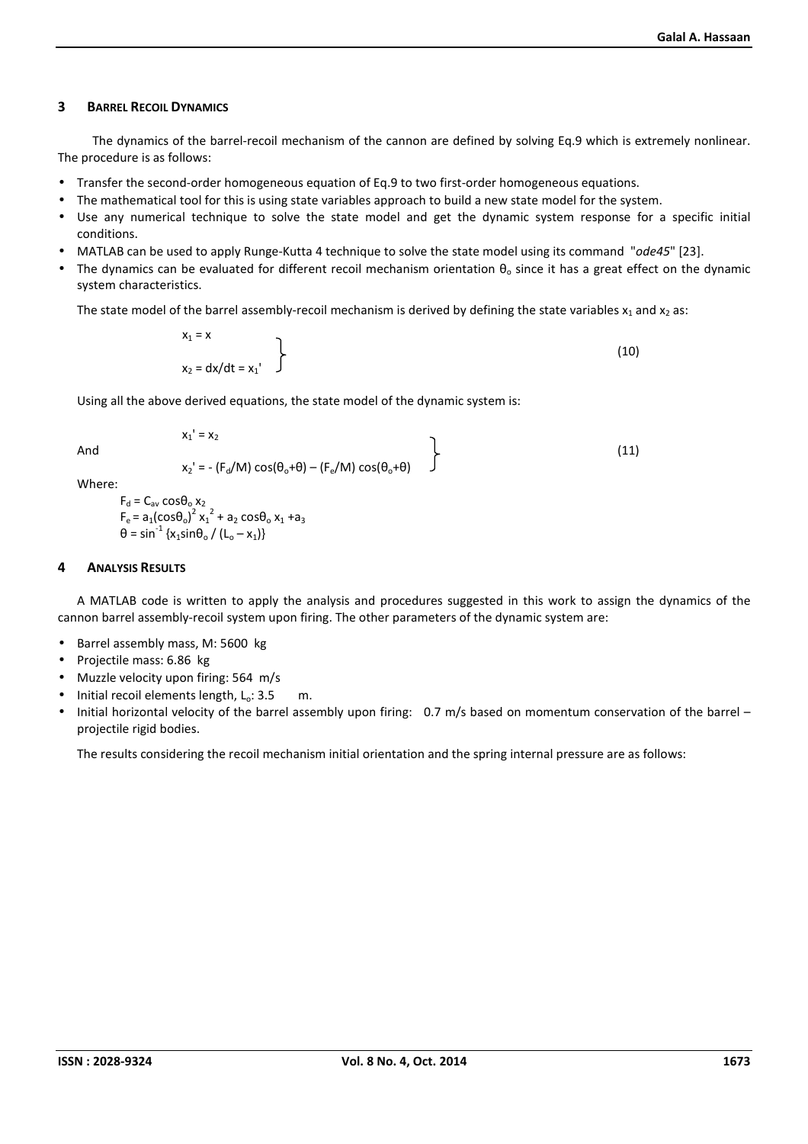#### **3 BARREL RECOIL DYNAMICS**

 The dynamics of the barrel-recoil mechanism of the cannon are defined by solving Eq.9 which is extremely nonlinear. The procedure is as follows:

- Transfer the second-order homogeneous equation of Eq.9 to two first-order homogeneous equations.
- The mathematical tool for this is using state variables approach to build a new state model for the system.
- Use any numerical technique to solve the state model and get the dynamic system response for a specific initial conditions.
- MATLAB can be used to apply Runge-Kutta 4 technique to solve the state model using its command "*ode45*" [23].
- The dynamics can be evaluated for different recoil mechanism orientation  $\theta_0$  since it has a great effect on the dynamic system characteristics.

The state model of the barrel assembly-recoil mechanism is derived by defining the state variables  $x_1$  and  $x_2$  as:

$$
\begin{aligned}\n x_1 &= x \\
x_2 &= dx/dt = x_1'\n \end{aligned}
$$
\n(10)

Using all the above derived equations, the state model of the dynamic system is:

And  

$$
x_1' = x_2
$$

$$
x_2' = -(F_d/M) \cos(\theta_o + \theta) - (F_e/M) \cos(\theta_o + \theta)
$$
 (11)

Where:

$$
F_d = C_{av} \cos{\theta_0} x_2
$$
  
\n
$$
F_e = a_1(\cos{\theta_0})^2 x_1^2 + a_2 \cos{\theta_0} x_1 + a_3
$$
  
\n
$$
\theta = \sin^{-1} \{x_1 \sin{\theta_0} / (L_o - x_1)\}
$$

## **4 ANALYSIS RESULTS**

A MATLAB code is written to apply the analysis and procedures suggested in this work to assign the dynamics of the cannon barrel assembly-recoil system upon firing. The other parameters of the dynamic system are:

- Barrel assembly mass, M: 5600 kg
- Projectile mass: 6.86 kg
- Muzzle velocity upon firing: 564 m/s
- Initial recoil elements length,  $L_0$ : 3.5 m.
- Initial horizontal velocity of the barrel assembly upon firing: 0.7 m/s based on momentum conservation of the barrel projectile rigid bodies.

The results considering the recoil mechanism initial orientation and the spring internal pressure are as follows: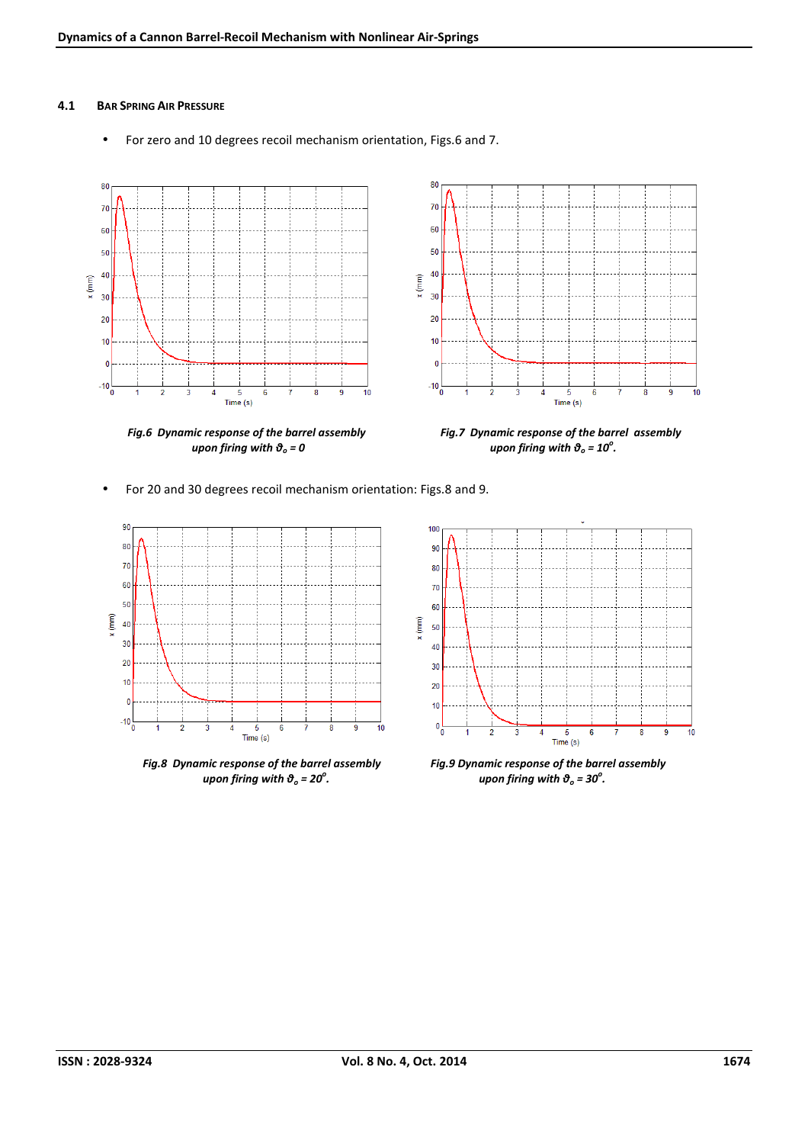#### **4.1 BAR SPRING AIR PRESSURE**

• For zero and 10 degrees recoil mechanism orientation, Figs.6 and 7.





• For 20 and 30 degrees recoil mechanism orientation: Figs.8 and 9.



*Fig.8 Dynamic response of the barrel assembly Fig.9 Dynamic response of the barrel assembly upon firing with θo = 20<sup>o</sup>*



*upon firing with*  $\vartheta_o = 30^\circ$ *.*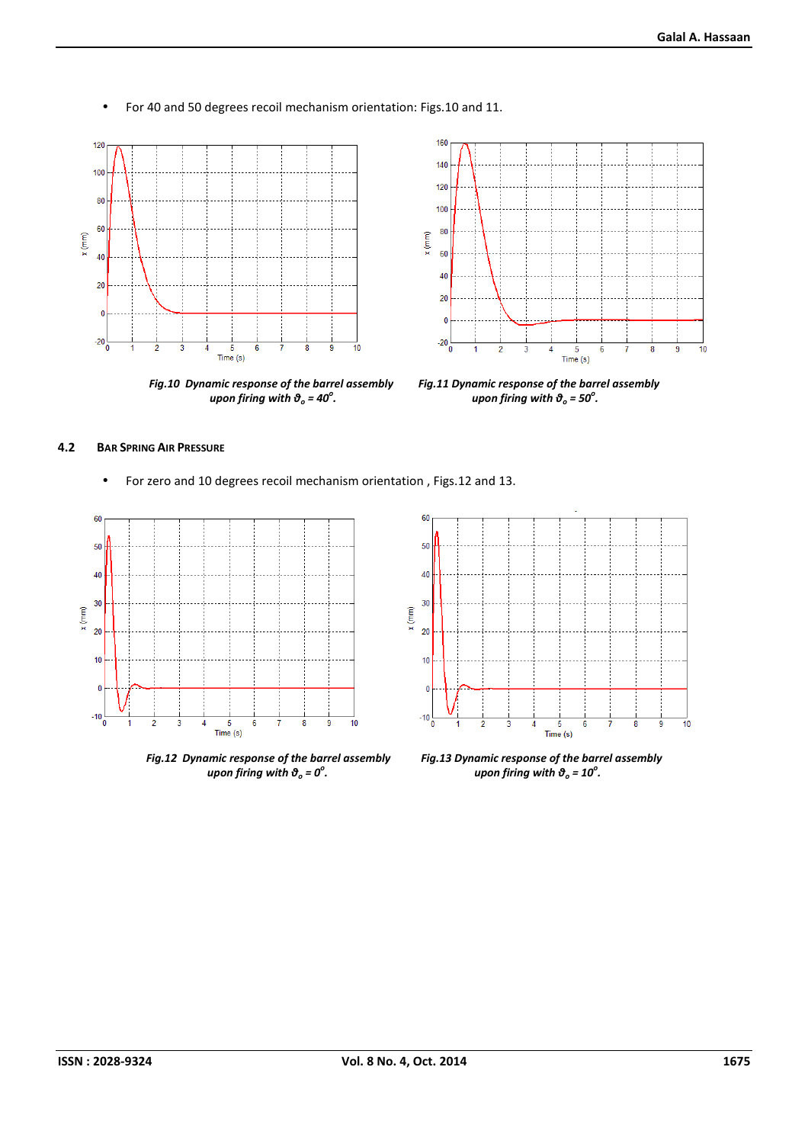• For 40 and 50 degrees recoil mechanism orientation: Figs.10 and 11.



*upon firing with θo = 40<sup>o</sup>*



*Fig.10 Dynamic response of the barrel assembly Fig.11 Dynamic response of the barrel assembly upon firing with*  $\vartheta_o = 50^\circ$ *.* 

## **4.2 BAR SPRING AIR PRESSURE**

• For zero and 10 degrees recoil mechanism orientation , Figs.12 and 13.



*Fig.12 Dynamic response of the barrel assembly Fig.13 Dynamic response of the barrel assembly upon firing with θo = 0<sup>o</sup>*



*upon firing with*  $\vartheta_o = 10^\circ$ *.*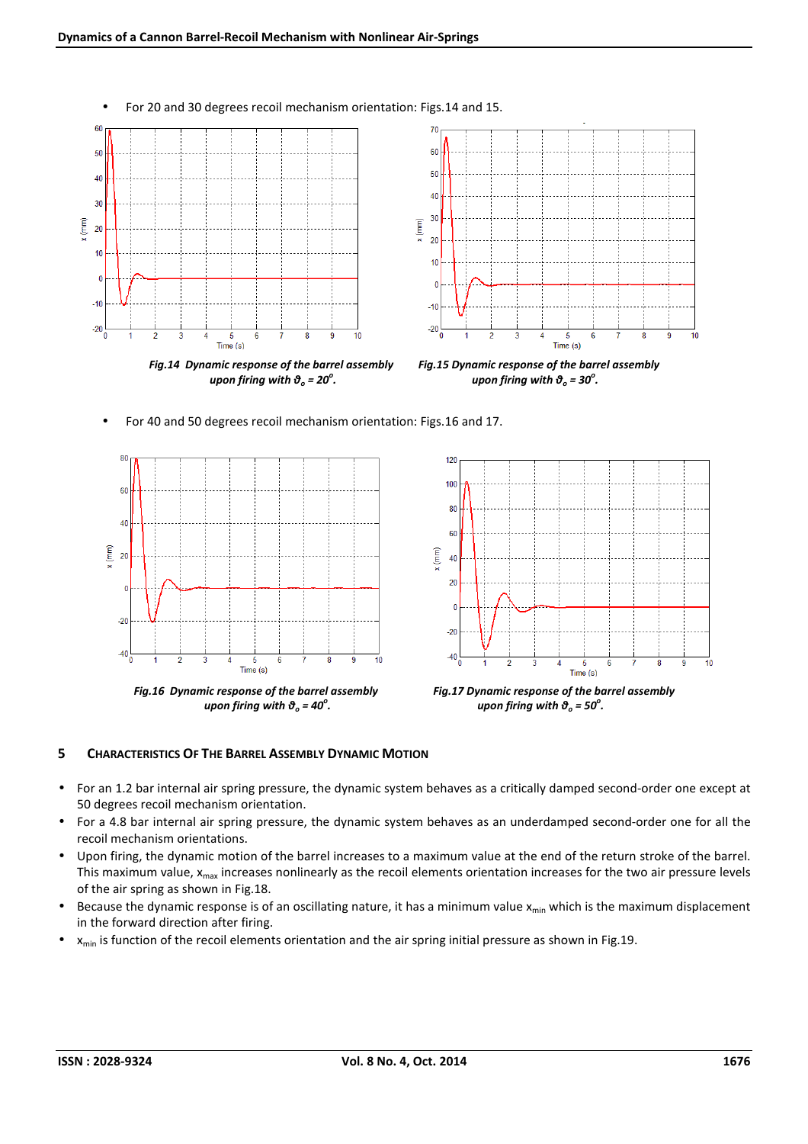

• For 40 and 50 degrees recoil mechanism orientation: Figs.16 and 17.





*upon firing with*  $\vartheta_o = 50^\circ$ *.* 

# **5 CHARACTERISTICS OF THE BARREL ASSEMBLY DYNAMIC MOTION**

- For an 1.2 bar internal air spring pressure, the dynamic system behaves as a critically damped second-order one except at 50 degrees recoil mechanism orientation.
- For a 4.8 bar internal air spring pressure, the dynamic system behaves as an underdamped second-order one for all the recoil mechanism orientations.
- Upon firing, the dynamic motion of the barrel increases to a maximum value at the end of the return stroke of the barrel. This maximum value,  $x_{\text{max}}$  increases nonlinearly as the recoil elements orientation increases for the two air pressure levels of the air spring as shown in Fig.18.
- Because the dynamic response is of an oscillating nature, it has a minimum value  $x_{min}$  which is the maximum displacement in the forward direction after firing.
- $x_{min}$  is function of the recoil elements orientation and the air spring initial pressure as shown in Fig.19.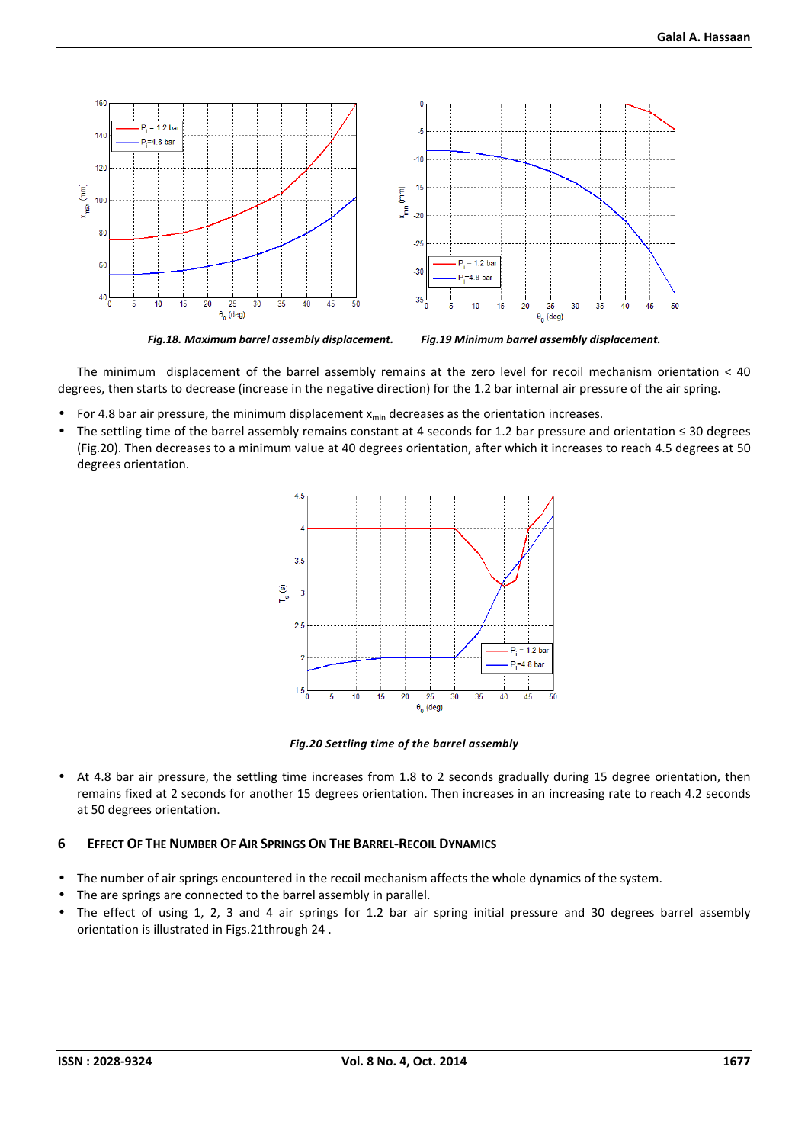

The minimum displacement of the barrel assembly remains at the zero level for recoil mechanism orientation < 40 degrees, then starts to decrease (increase in the negative direction) for the 1.2 bar internal air pressure of the air spring.

- For 4.8 bar air pressure, the minimum displacement  $x_{min}$  decreases as the orientation increases.
- The settling time of the barrel assembly remains constant at 4 seconds for 1.2 bar pressure and orientation ≤ 30 degrees (Fig.20). Then decreases to a minimum value at 40 degrees orientation, after which it increases to reach 4.5 degrees at 50 degrees orientation.





• At 4.8 bar air pressure, the settling time increases from 1.8 to 2 seconds gradually during 15 degree orientation, then remains fixed at 2 seconds for another 15 degrees orientation. Then increases in an increasing rate to reach 4.2 seconds at 50 degrees orientation.

## 6 EFFECT OF THE NUMBER OF AIR SPRINGS ON THE BARREL-RECOIL DYNAMICS

- The number of air springs encountered in the recoil mechanism affects the whole dynamics of the system.
- The are springs are connected to the barrel assembly in parallel.
- The effect of using 1, 2, 3 and 4 air springs for 1.2 bar air spring initial pressure and 30 degrees barrel assembly orientation is illustrated in Figs.21through 24 .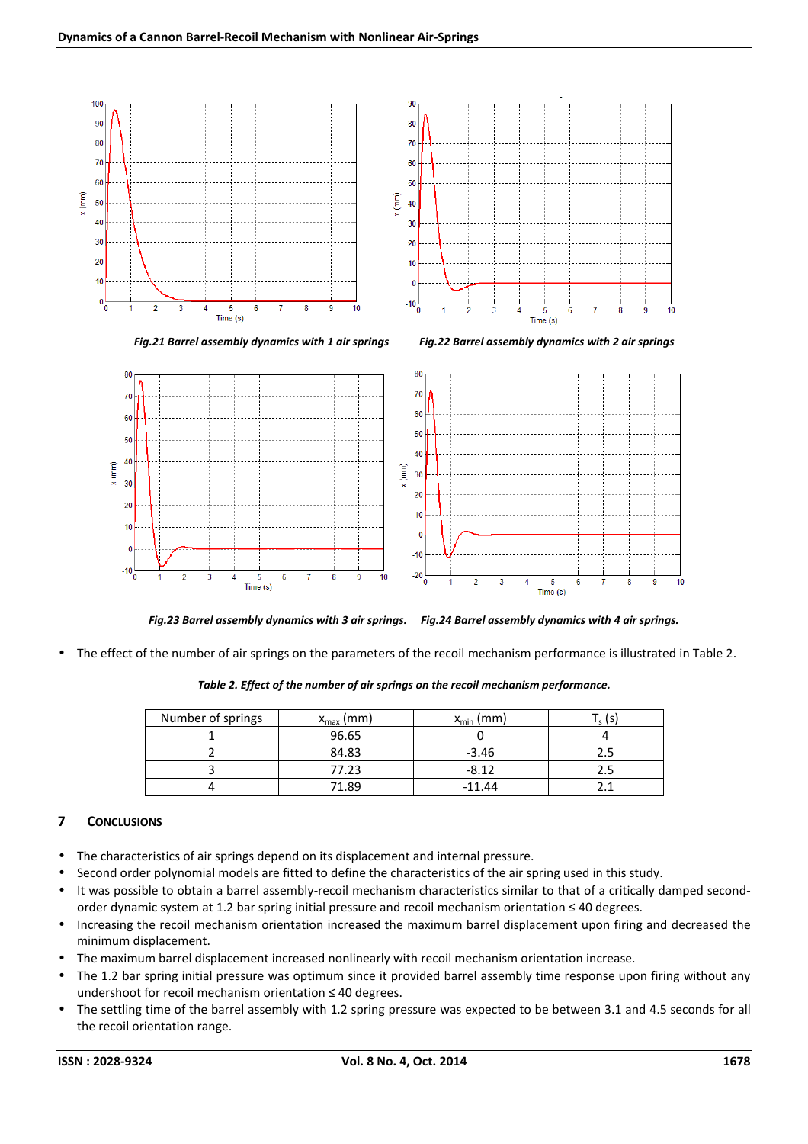



*Fig.23 Barrel assembly dynamics with 3 air springs. Fig.24 Barrel assembly dynamics with 4 air springs.* 

• The effect of the number of air springs on the parameters of the recoil mechanism performance is illustrated in Table 2.

| Number of springs | $x_{\text{max}}$ (mm) | $x_{\min}$ (mm) |  |
|-------------------|-----------------------|-----------------|--|
|                   | 96.65                 |                 |  |
|                   | 84.83                 | $-3.46$         |  |
|                   | 77.23                 | $-8.12$         |  |
|                   | 71.89                 | $-11.44$        |  |

*Table 2. Effect of the number of air springs on the recoil mechanism performance.* 

# **7 CONCLUSIONS**

- The characteristics of air springs depend on its displacement and internal pressure.
- Second order polynomial models are fitted to define the characteristics of the air spring used in this study.
- It was possible to obtain a barrel assembly-recoil mechanism characteristics similar to that of a critically damped secondorder dynamic system at 1.2 bar spring initial pressure and recoil mechanism orientation ≤ 40 degrees.
- Increasing the recoil mechanism orientation increased the maximum barrel displacement upon firing and decreased the minimum displacement.
- The maximum barrel displacement increased nonlinearly with recoil mechanism orientation increase.
- The 1.2 bar spring initial pressure was optimum since it provided barrel assembly time response upon firing without any undershoot for recoil mechanism orientation ≤ 40 degrees.
- The settling time of the barrel assembly with 1.2 spring pressure was expected to be between 3.1 and 4.5 seconds for all the recoil orientation range.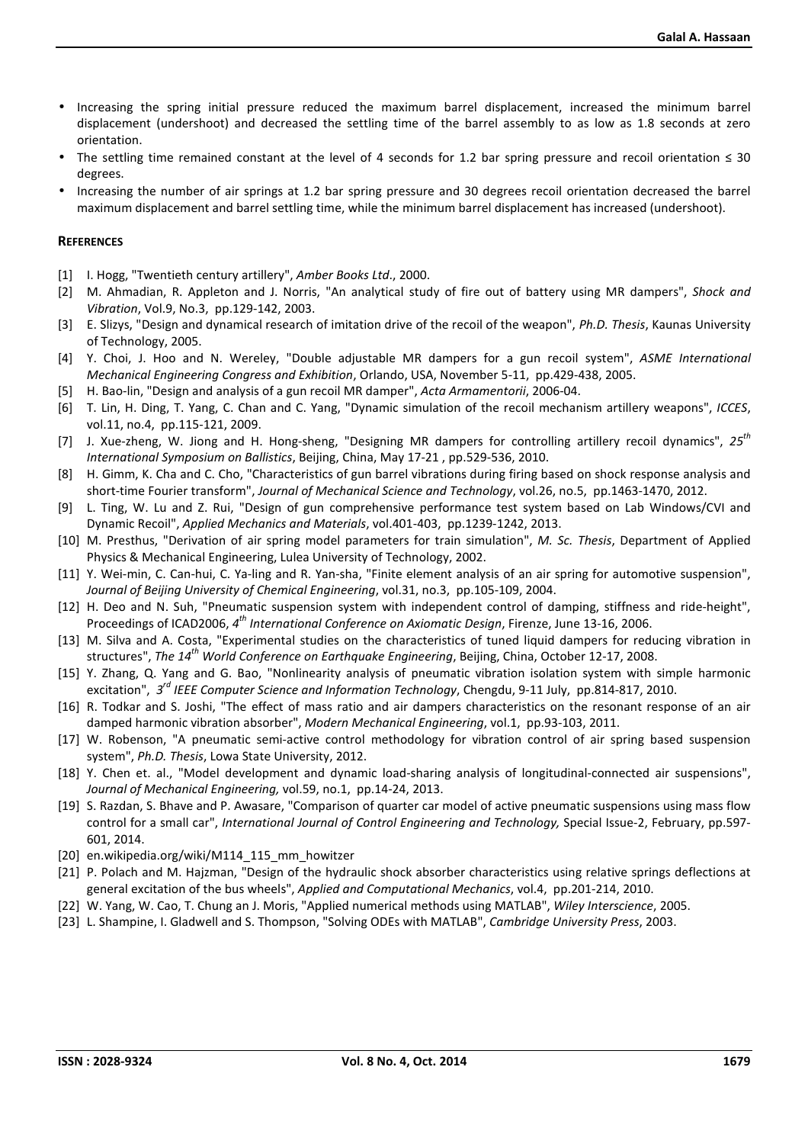- Increasing the spring initial pressure reduced the maximum barrel displacement, increased the minimum barrel displacement (undershoot) and decreased the settling time of the barrel assembly to as low as 1.8 seconds at zero orientation.
- The settling time remained constant at the level of 4 seconds for 1.2 bar spring pressure and recoil orientation ≤ 30 degrees.
- Increasing the number of air springs at 1.2 bar spring pressure and 30 degrees recoil orientation decreased the barrel maximum displacement and barrel settling time, while the minimum barrel displacement has increased (undershoot).

## **REFERENCES**

- [1] I. Hogg, "Twentieth century artillery", *Amber Books Ltd*., 2000.
- [2] M. Ahmadian, R. Appleton and J. Norris, "An analytical study of fire out of battery using MR dampers", *Shock and Vibration*, Vol.9, No.3, pp.129-142, 2003.
- [3] E. Slizys, "Design and dynamical research of imitation drive of the recoil of the weapon", *Ph.D. Thesis*, Kaunas University of Technology, 2005.
- [4] Y. Choi, J. Hoo and N. Wereley, "Double adjustable MR dampers for a gun recoil system", *ASME International Mechanical Engineering Congress and Exhibition*, Orlando, USA, November 5-11, pp.429-438, 2005.
- [5] H. Bao-lin, "Design and analysis of a gun recoil MR damper", *Acta Armamentorii*, 2006-04.
- [6] T. Lin, H. Ding, T. Yang, C. Chan and C. Yang, "Dynamic simulation of the recoil mechanism artillery weapons", *ICCES*, vol.11, no.4, pp.115-121, 2009.
- [7] J. Xue-zheng, W. Jiong and H. Hong-sheng, "Designing MR dampers for controlling artillery recoil dynamics", *25th International Symposium on Ballistics*, Beijing, China, May 17-21 , pp.529-536, 2010.
- [8] H. Gimm, K. Cha and C. Cho, "Characteristics of gun barrel vibrations during firing based on shock response analysis and short-time Fourier transform", *Journal of Mechanical Science and Technology*, vol.26, no.5, pp.1463-1470, 2012.
- [9] L. Ting, W. Lu and Z. Rui, "Design of gun comprehensive performance test system based on Lab Windows/CVI and Dynamic Recoil", *Applied Mechanics and Materials*, vol.401-403, pp.1239-1242, 2013.
- [10] M. Presthus, "Derivation of air spring model parameters for train simulation", *M. Sc. Thesis*, Department of Applied Physics & Mechanical Engineering, Lulea University of Technology, 2002.
- [11] Y. Wei-min, C. Can-hui, C. Ya-ling and R. Yan-sha, "Finite element analysis of an air spring for automotive suspension", *Journal of Beijing University of Chemical Engineering*, vol.31, no.3, pp.105-109, 2004.
- [12] H. Deo and N. Suh, "Pneumatic suspension system with independent control of damping, stiffness and ride-height", Proceedings of ICAD2006, *4 th International Conference on Axiomatic Design*, Firenze, June 13-16, 2006.
- [13] M. Silva and A. Costa, "Experimental studies on the characteristics of tuned liquid dampers for reducing vibration in structures", *The 14th World Conference on Earthquake Engineering*, Beijing, China, October 12-17, 2008.
- [15] Y. Zhang, Q. Yang and G. Bao, "Nonlinearity analysis of pneumatic vibration isolation system with simple harmonic excitation", *3 rd IEEE Computer Science and Information Technology*, Chengdu, 9-11 July, pp.814-817, 2010.
- [16] R. Todkar and S. Joshi, "The effect of mass ratio and air dampers characteristics on the resonant response of an air damped harmonic vibration absorber", *Modern Mechanical Engineering*, vol.1, pp.93-103, 2011.
- [17] W. Robenson, "A pneumatic semi-active control methodology for vibration control of air spring based suspension system", *Ph.D. Thesis*, Lowa State University, 2012.
- [18] Y. Chen et. al., "Model development and dynamic load-sharing analysis of longitudinal-connected air suspensions", *Journal of Mechanical Engineering,* vol.59, no.1, pp.14-24, 2013.
- [19] S. Razdan, S. Bhave and P. Awasare, "Comparison of quarter car model of active pneumatic suspensions using mass flow control for a small car", *International Journal of Control Engineering and Technology,* Special Issue-2, February, pp.597- 601, 2014.
- [20] en.wikipedia.org/wiki/M114\_115\_mm\_howitzer
- [21] P. Polach and M. Hajzman, "Design of the hydraulic shock absorber characteristics using relative springs deflections at general excitation of the bus wheels", *Applied and Computational Mechanics*, vol.4, pp.201-214, 2010.
- [22] W. Yang, W. Cao, T. Chung an J. Moris, "Applied numerical methods using MATLAB", *Wiley Interscience*, 2005.
- [23] L. Shampine, I. Gladwell and S. Thompson, "Solving ODEs with MATLAB", *Cambridge University Press*, 2003.